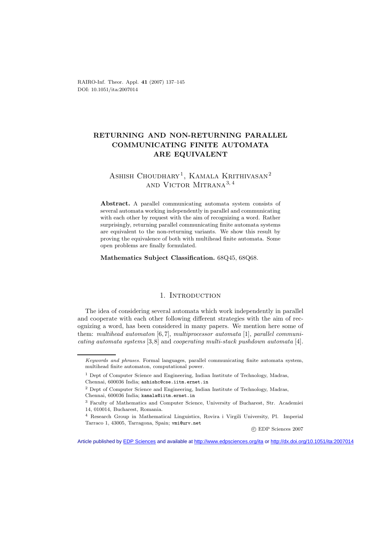RAIRO-Inf. Theor. Appl. **41** (2007) 137–145 DOI: 10.1051/ita:2007014

# **RETURNING AND NON-RETURNING PARALLEL COMMUNICATING FINITE AUTOMATA ARE EQUIVALENT**

# ASHISH CHOUDHARY<sup>1</sup>, KAMALA KRITHIVASAN<sup>2</sup> and Victor Mitrana<sup>3</sup>*,* <sup>4</sup>

Abstract. A parallel communicating automata system consists of several automata working independently in parallel and communicating with each other by request with the aim of recognizing a word. Rather surprisingly, returning parallel communicating finite automata systems are equivalent to the non-returning variants. We show this result by proving the equivalence of both with multihead finite automata. Some open problems are finally formulated.

**Mathematics Subject Classification.** 68Q45, 68Q68.

### 1. INTRODUCTION

The idea of considering several automata which work independently in parallel and cooperate with each other following different strategies with the aim of recognizing a word, has been considered in many papers. We mention here some of them: *multihead automaton* [6, 7], *multiprocessor automata* [1], *parallel communicating automata systems* [3,8] and *cooperating multi-stack pushdown automata* [4].

c EDP Sciences 2007

*Keywords and phrases.* Formal languages, parallel communicating finite automata system, multihead finite automaton, computational power.

 $^{\rm 1}$  Dept of Computer Science and Engineering, Indian Institute of Technology, Madras,

Chennai, 600036 India; ashishc@cse.iitm.ernet.in

<sup>2</sup> Dept of Computer Science and Engineering, Indian Institute of Technology, Madras, Chennai, 600036 India; kamala@iitm.ernet.in

<sup>3</sup> Faculty of Mathematics and Computer Science, University of Bucharest, Str. Academiei 14, 010014, Bucharest, Romania.

<sup>4</sup> Research Group in Mathematical Linguistics, Rovira i Virgili University, Pl. Imperial Tarraco 1, 43005, Tarragona, Spain; vmi@urv.net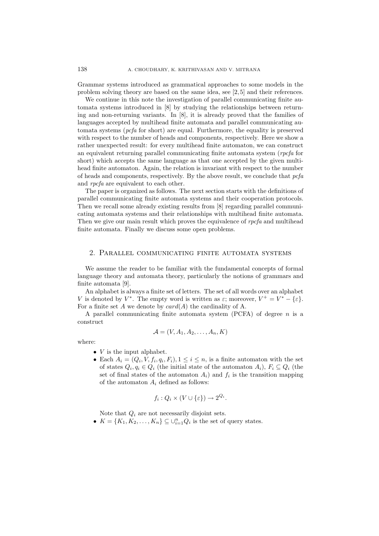Grammar systems introduced as grammatical approaches to some models in the problem solving theory are based on the same idea, see [2, 5] and their references.

We continue in this note the investigation of parallel communicating finite automata systems introduced in [8] by studying the relationships between returning and non-returning variants. In [8], it is already proved that the families of languages accepted by multihead finite automata and parallel communicating automata systems (*pcfa* for short) are equal. Furthermore, the equality is preserved with respect to the number of heads and components, respectively. Here we show a rather unexpected result: for every multihead finite automaton, we can construct an equivalent returning parallel communicating finite automata system (*rpcfa* for short) which accepts the same language as that one accepted by the given multihead finite automaton. Again, the relation is invariant with respect to the number of heads and components, respectively. By the above result, we conclude that *pcfa* and *rpcfa* are equivalent to each other.

The paper is organized as follows. The next section starts with the definitions of parallel communicating finite automata systems and their cooperation protocols. Then we recall some already existing results from [8] regarding parallel communicating automata systems and their relationships with multihead finite automata. Then we give our main result which proves the equivalence of *rpcfa* and multihead finite automata. Finally we discuss some open problems.

#### 2. Parallel communicating finite automata systems

We assume the reader to be familiar with the fundamental concepts of formal language theory and automata theory, particularly the notions of grammars and finite automata [9].

An alphabet is always a finite set of letters. The set of all words over an alphabet V is denoted by V<sup>\*</sup>. The empty word is written as  $\varepsilon$ ; moreover,  $V^+ = V^* - {\varepsilon}$ . For a finite set A we denote by  $card(A)$  the cardinality of A.

A parallel communicating finite automata system (PCFA) of degree  $n$  is a construct

$$
\mathcal{A} = (V, A_1, A_2, \dots, A_n, K)
$$

where:

- $V$  is the input alphabet.
- Each  $A_i = (Q_i, V, f_i, q_i, F_i), 1 \leq i \leq n$ , is a finite automaton with the set of states  $Q_i, q_i \in Q_i$  (the initial state of the automaton  $A_i$ ),  $F_i \subseteq Q_i$  (the set of final states of the automaton  $A_i$ ) and  $f_i$  is the transition mapping of the automaton A*<sup>i</sup>* defined as follows:

$$
f_i: Q_i \times (V \cup \{\varepsilon\}) \to 2^{Q_i}.
$$

Note that Q*<sup>i</sup>* are not necessarily disjoint sets.

•  $K = \{K_1, K_2, \ldots, K_n\} \subseteq \bigcup_{i=1}^n Q_i$  is the set of query states.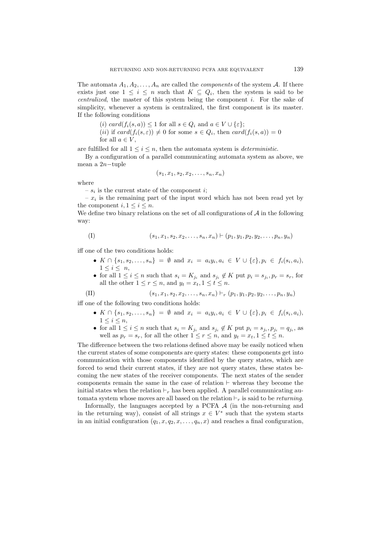The automata  $A_1, A_2, \ldots, A_n$  are called the *components* of the system A. If there exists just one  $1 \leq i \leq n$  such that  $K \subseteq Q_i$ , then the system is said to be *centralized*, the master of this system being the component i. For the sake of simplicity, whenever a system is centralized, the first component is its master. If the following conditions

(i) card $(f_i(s, a)) \leq 1$  for all  $s \in Q_i$  and  $a \in V \cup \{\varepsilon\};$ 

(*ii*) if 
$$
card(f_i(s, \varepsilon)) \neq 0
$$
 for some  $s \in Q_i$ , then  $card(f_i(s, a)) = 0$  for all  $a \in V$ ,

are fulfilled for all  $1 \leq i \leq n$ , then the automata system is *deterministic*.

By a configuration of a parallel communicating automata system as above, we mean a 2n−tuple

$$
(s_1,x_1,s_2,x_2,\ldots,s_n,x_n)
$$

where

 $- s_i$  is the current state of the component *i*;

 $- x_i$  is the remaining part of the input word which has not been read yet by the component  $i, 1 \leq i \leq n$ .

We define two binary relations on the set of all configurations of  $A$  in the following way:

$$
(1) \qquad (s_1, x_1, s_2, x_2, \dots, s_n, x_n) \vdash (p_1, y_1, p_2, y_2, \dots, p_n, y_n)
$$

iff one of the two conditions holds:

- $K \cap \{s_1, s_2, \ldots, s_n\} = ∅$  and  $x_i = a_i y_i, a_i \in V \cup \{\varepsilon\}, p_i \in f_i(s_i, a_i),$  $1 \leq i \leq n$ ,
- for all  $1 \leq i \leq n$  such that  $s_i = K_{j_i}$  and  $s_{j_i} \notin K$  put  $p_i = s_{j_i}, p_r = s_r$ , for all the other  $1 \leq r \leq n$ , and  $y_t = x_t, 1 \leq t \leq n$ .

(II) 
$$
(s_1, x_1, s_2, x_2, \ldots, s_n, x_n) \vdash_r (p_1, y_1, p_2, y_2, \ldots, p_n, y_n)
$$

iff one of the following two conditions holds:

- $K \cap \{s_1, s_2, \ldots, s_n\} = ∅$  and  $x_i = a_i y_i, a_i \in V \cup \{\varepsilon\}, p_i \in f_i(s_i, a_i),$  $1 \leq i \leq n$ ,
- for all  $1 \leq i \leq n$  such that  $s_i = K_{j_i}$  and  $s_{j_i} \notin K$  put  $p_i = s_{j_i}, p_{j_i} = q_{j_i}$ , as well as  $p_r = s_r$ , for all the other  $1 \leq r \leq n$ , and  $y_t = x_t, 1 \leq t \leq n$ .

The difference between the two relations defined above may be easily noticed when the current states of some components are query states: these components get into communication with those components identified by the query states, which are forced to send their current states, if they are not query states, these states becoming the new states of the receiver components. The next states of the sender components remain the same in the case of relation  $\vdash$  whereas they become the initial states when the relation  $r_r$  has been applied. A parallel communicating automata system whose moves are all based on the relation  $\vdash_r$  is said to be *returning*.

Informally, the languages accepted by a PCFA  $A$  (in the non-returning and in the returning way), consist of all strings  $x \in V^*$  such that the system starts in an initial configuration  $(q_1, x, q_2, x, \ldots, q_n, x)$  and reaches a final configuration,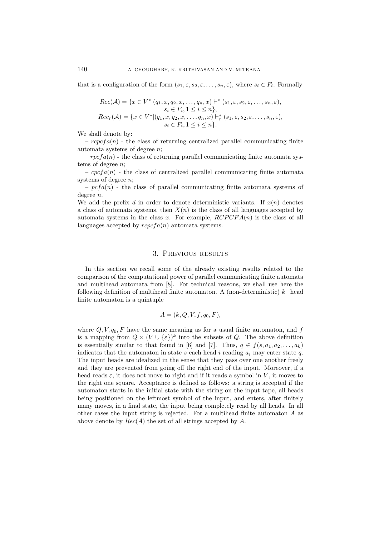that is a configuration of the form  $(s_1, \varepsilon, s_2, \varepsilon, \ldots, s_n, \varepsilon)$ , where  $s_i \in F_i$ . Formally

$$
Rec(\mathcal{A}) = \{x \in V^* | (q_1, x, q_2, x, \dots, q_n, x) \vdash^* (s_1, \varepsilon, s_2, \varepsilon, \dots, s_n, \varepsilon),
$$
  
\n
$$
s_i \in F_i, 1 \leq i \leq n \},
$$
  
\n
$$
Rec_r(\mathcal{A}) = \{x \in V^* | (q_1, x, q_2, x, \dots, q_n, x) \vdash^*_{r} (s_1, \varepsilon, s_2, \varepsilon, \dots, s_n, \varepsilon),
$$
  
\n
$$
s_i \in F_i, 1 \leq i \leq n \}.
$$

We shall denote by:

–  $r\epsilon_1$  reperting returning centralized parallel communicating finite automata systems of degree n;

 $- rpcfa(n)$  - the class of returning parallel communicating finite automata systems of degree n;

–  $cpcfa(n)$  – the class of centralized parallel communicating finite automata systems of degree n;

–  $\nu$  pcf a(n) – the class of parallel communicating finite automata systems of degree n.

We add the prefix d in order to denote deterministic variants. If  $x(n)$  denotes a class of automata systems, then  $X(n)$  is the class of all languages accepted by automata systems in the class x. For example,  $RCPCFA(n)$  is the class of all languages accepted by  $repcfa(n)$  automata systems.

#### 3. Previous results

In this section we recall some of the already existing results related to the comparison of the computational power of parallel communicating finite automata and multihead automata from [8]. For technical reasons, we shall use here the following definition of multihead finite automaton. A (non-deterministic) k−head finite automaton is a quintuple

$$
A = (k, Q, V, f, q_0, F),
$$

where  $Q, V, q_0, F$  have the same meaning as for a usual finite automaton, and f is a mapping from  $Q \times (V \cup \{\varepsilon\})^k$  into the subsets of Q. The above definition is essentially similar to that found in [6] and [7]. Thus,  $q \in f(s, a_1, a_2, \ldots, a_k)$ indicates that the automaton in state s each head i reading  $a_i$  may enter state q. The input heads are idealized in the sense that they pass over one another freely and they are prevented from going off the right end of the input. Moreover, if a head reads  $\varepsilon$ , it does not move to right and if it reads a symbol in V, it moves to the right one square. Acceptance is defined as follows: a string is accepted if the automaton starts in the initial state with the string on the input tape, all heads being positioned on the leftmost symbol of the input, and enters, after finitely many moves, in a final state, the input being completely read by all heads. In all other cases the input string is rejected. For a multihead finite automaton A as above denote by  $Rec(A)$  the set of all strings accepted by A.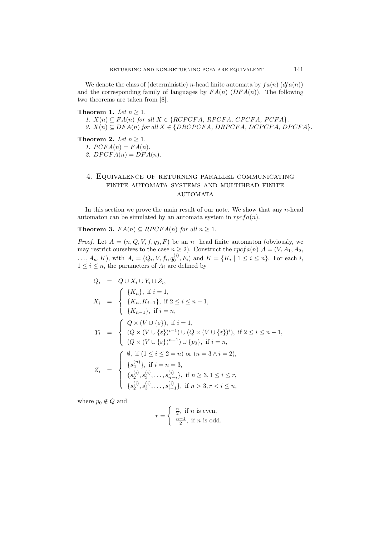We denote the class of (deterministic) *n*-head finite automata by  $fa(n)$  ( $df(a(n))$ ) and the corresponding family of languages by  $FA(n)$  (DFA(n)). The following two theorems are taken from [8].

**Theorem 1.** *Let*  $n \geq 1$ *.* 

*1.*  $X(n) \subseteq FA(n)$  *for all*  $X \in \{RCPCFA, RPCFA, CPCFA, PCFA\}$ .

*2.*  $X(n) \subseteq DFA(n)$  *for all*  $X \in \{DRCPCFA, DRPCFA, DCPCFA, DPCFA\}.$ 

**Theorem 2.** *Let*  $n \geq 1$ *.* 

1.  $PCFA(n) = FA(n)$ .

2.  $DPCFA(n) = DFA(n)$ .

## 4. Equivalence of returning parallel communicating finite automata systems and multihead finite **AUTOMATA**

In this section we prove the main result of our note. We show that any  $n$ -head automaton can be simulated by an automata system in  $rpcfa(n)$ .

**Theorem 3.**  $FA(n) \subseteq RPCFA(n)$  *for all*  $n \geq 1$ *.* 

*Proof.* Let  $A = (n, Q, V, f, q_0, F)$  be an n-head finite automaton (obviously, we may restrict ourselves to the case  $n \geq 2$ ). Construct the  $rpcfa(n)$   $\mathcal{A} = (V, A_1, A_2, A_3)$ ...,  $A_n$ ,  $K$ ), with  $A_i = (Q_i, V, f_i, q_0^{(i)}, F_i)$  and  $K = \{K_i \mid 1 \le i \le n\}$ . For each i,  $1 \leq i \leq n$ , the parameters of  $A_i$  are defined by

$$
Q_{i} = Q \cup X_{i} \cup Y_{i} \cup Z_{i},
$$
  
\n
$$
X_{i} = \begin{cases} \{K_{n}\}, \text{ if } i = 1, \\ \{K_{n-1}\}, \text{ if } 2 \leq i \leq n-1, \\ \{K_{n-1}\}, \text{ if } i = n, \end{cases}
$$
  
\n
$$
Y_{i} = \begin{cases} Q \times (V \cup \{\varepsilon\}), \text{ if } i = 1, \\ (Q \times (V \cup \{\varepsilon\})^{i-1}) \cup (Q \times (V \cup \{\varepsilon\})^{i}), \text{ if } 2 \leq i \leq n-1, \\ (Q \times (V \cup \{\varepsilon\})^{n-1}) \cup \{p_{0}\}, \text{ if } i = n, \end{cases}
$$
  
\n
$$
Z_{i} = \begin{cases} \emptyset, \text{ if } (1 \leq i \leq 2 = n) \text{ or } (n = 3 \land i = 2), \\ \{s_{2}^{(n)}\}, \text{ if } i = n = 3, \\ \{s_{2}^{(i)}, s_{3}^{(i)}, \ldots, s_{n-i}^{(i)}\}, \text{ if } n \geq 3, 1 \leq i \leq r, \\ \{s_{2}^{(i)}, s_{3}^{(i)}, \ldots, s_{i-1}^{(i)}\}, \text{ if } n > 3, r < i \leq n, \end{cases}
$$

where  $p_0 \notin Q$  and

$$
r = \begin{cases} \frac{n}{2}, \text{ if } n \text{ is even,} \\ \frac{n-1}{2}, \text{ if } n \text{ is odd.} \end{cases}
$$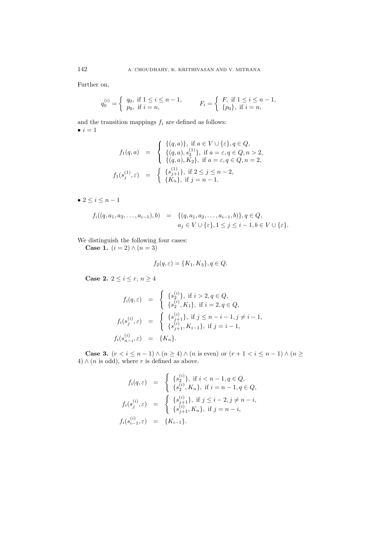Further on,

$$
q_0^{(i)} = \begin{cases} q_0, & \text{if } 1 \le i \le n-1, \\ p_0, & \text{if } i = n, \end{cases} \qquad F_i = \begin{cases} F, & \text{if } 1 \le i \le n-1, \\ \{p_0\}, & \text{if } i = n, \end{cases}
$$

and the transition mappings  $f_i$  are defined as follows:  $\bullet i = 1$ 

$$
f_1(q, a) = \begin{cases} \{(q, a)\}, & \text{if } a \in V \cup \{\varepsilon\}, q \in Q, \\ \{(q, a), s_2^{(1)}\}, & \text{if } a = \varepsilon, q \in Q, n > 2, \\ \{(q, a), K_2\}, & \text{if } a = \varepsilon, q \in Q, n = 2, \\ f_1(s_j^{(1)}, \varepsilon) = \begin{cases} \{s_{j+1}^{(1)}\}, & \text{if } 2 \le j \le n-2, \\ \{K_n\}, & \text{if } j = n-1. \end{cases} \end{cases}
$$

•  $2 \le i \le n-1$ 

$$
f_i((q, a_1, a_2, \dots, a_{i-1}), b) = \{(q, a_1, a_2, \dots, a_{i-1}, b)\}, q \in Q, a_j \in V \cup \{\varepsilon\}, 1 \le j \le i-1, b \in V \cup \{\varepsilon\}.
$$

We distinguish the following four cases:

**Case 1.**  $(i = 2) \wedge (n = 3)$ 

$$
f_2(q,\varepsilon) = \{K_1, K_3\}, q \in Q.
$$

**Case 2.**  $2 \leq i \leq r, n \geq 4$ 

$$
f_i(q, \varepsilon) = \begin{cases} \{s_2^{(i)}\}, \text{ if } i > 2, q \in Q, \\ \{s_2^{(i)}, K_1\}, \text{ if } i = 2, q \in Q, \\ f_i(s_j^{(i)}, \varepsilon) = \begin{cases} \{s_{j+1}^{(i)}\}, \text{ if } j \le n - i - 1, j \ne i - 1, \\ \{s_{j+1}^{(i)}, K_{i-1}\}, \text{ if } j = i - 1, \end{cases} \\ f_i(s_{n-i}^{(i)}, \varepsilon) = \{K_n\}.
$$

**Case 3.**  $(r < i \leq n-1) \wedge (n \geq 4) \wedge (n \text{ is even}) \text{ or } (r+1 < i \leq n-1) \wedge (n \geq 4)$  $4) \wedge (n \text{ is odd}), \text{ where } r \text{ is defined as above}.$ 

$$
f_i(q, \varepsilon) = \begin{cases} \{s_2^{(i)}\}, \text{ if } i < n-1, q \in Q, \\ \{s_2^{(i)}, K_n\}, \text{ if } i = n-1, q \in Q, \end{cases}
$$

$$
f_i(s_j^{(i)}, \varepsilon) = \begin{cases} \{s_{j+1}^{(i)}\}, \text{ if } j \le i-2, j \ne n-i, \\ \{s_{j+1}^{(i)}, K_n\}, \text{ if } j = n-i, \end{cases}
$$

$$
f_i(s_{i-1}^{(i)}, \varepsilon) = \{K_{i-1}\}.
$$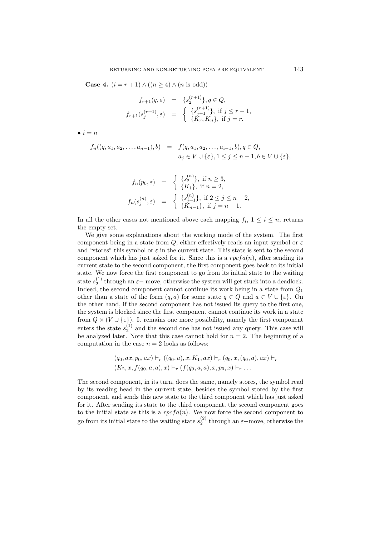**Case 4.**  $(i = r + 1) \wedge ((n \geq 4) \wedge (n \text{ is odd}))$ 

$$
f_{r+1}(q, \varepsilon) = \{s_2^{(r+1)}\}, q \in Q,
$$
  

$$
f_{r+1}(s_j^{(r+1)}, \varepsilon) = \begin{cases} \{s_{j+1}^{(r+1)}\}, \text{ if } j \leq r-1, \\ \{K_r, K_n\}, \text{ if } j = r. \end{cases}
$$

 $\bullet i = n$ 

$$
f_n((q, a_1, a_2, \dots, a_{n-1}), b) = f(q, a_1, a_2, \dots, a_{i-1}, b), q \in Q,
$$
  

$$
a_j \in V \cup \{\varepsilon\}, 1 \le j \le n-1, b \in V \cup \{\varepsilon\},\
$$

$$
f_n(p_0, \varepsilon) = \begin{cases} \{s_2^{(n)}\}, & \text{if } n \ge 3, \\ \{K_1\}, & \text{if } n = 2, \end{cases}
$$

$$
f_n(s_j^{(n)}, \varepsilon) = \begin{cases} \{s_{j+1}^{(n)}\}, & \text{if } 2 \le j \le n-2, \\ \{K_{n-1}\}, & \text{if } j = n-1. \end{cases}
$$

In all the other cases not mentioned above each mapping  $f_i$ ,  $1 \leq i \leq n$ , returns the empty set.

We give some explanations about the working mode of the system. The first component being in a state from Q, either effectively reads an input symbol or  $\varepsilon$ and "stores" this symbol or  $\varepsilon$  in the current state. This state is sent to the second component which has just asked for it. Since this is a  $rpcfa(n)$ , after sending its current state to the second component, the first component goes back to its initial state. We now force the first component to go from its initial state to the waiting state  $s_2^{(1)}$  through an  $\varepsilon$  – move, otherwise the system will get stuck into a deadlock. Indeed, the second component cannot continue its work being in a state from  $Q_1$ other than a state of the form  $(q, a)$  for some state  $q \in Q$  and  $a \in V \cup \{\varepsilon\}$ . On the other hand, if the second component has not issued its query to the first one, the system is blocked since the first component cannot continue its work in a state from  $Q \times (V \cup \{\varepsilon\})$ . It remains one more possibility, namely the first component enters the state  $s_2^{(1)}$  and the second one has not issued any query. This case will be analyzed later. Note that this case cannot hold for  $n = 2$ . The beginning of a computation in the case  $n = 2$  looks as follows:

$$
(q_0, ax, p_0, ax) \vdash_r ((q_0, a), x, K_1, ax) \vdash_r (q_0, x, (q_0, a), ax) \vdash_r (K_2, x, f(q_0, a, a), x) \vdash_r (f(q_0, a, a), x, p_0, x) \vdash_r \dots
$$

The second component, in its turn, does the same, namely stores, the symbol read by its reading head in the current state, besides the symbol stored by the first component, and sends this new state to the third component which has just asked for it. After sending its state to the third component, the second component goes to the initial state as this is a  $rpefa(n)$ . We now force the second component to go from its initial state to the waiting state  $s_2^{(2)}$  through an  $\varepsilon$ -move, otherwise the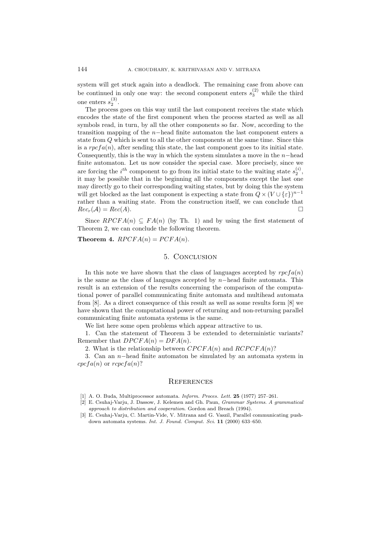system will get stuck again into a deadlock. The remaining case from above can be continued in only one way: the second component enters  $s_3^{(2)}$  while the third one enters  $s_2^{(3)}$ .

The process goes on this way until the last component receives the state which encodes the state of the first component when the process started as well as all symbols read, in turn, by all the other components so far. Now, according to the transition mapping of the n−head finite automaton the last component enters a state from Q which is sent to all the other components at the same time. Since this is a  $rpcfa(n)$ , after sending this state, the last component goes to its initial state. Consequently, this is the way in which the system simulates a move in the  $n$ -head finite automaton. Let us now consider the special case. More precisely, since we are forcing the  $i^{th}$  component to go from its initial state to the waiting state  $s_2^{(i)}$ , it may be possible that in the beginning all the components except the last one may directly go to their corresponding waiting states, but by doing this the system will get blocked as the last component is expecting a state from  $Q \times (V \cup \{\varepsilon\})^{n-1}$ rather than a waiting state. From the construction itself, we can conclude that  $Rec_r(\mathcal{A}) = Rec(A).$ 

Since  $RPCFA(n) \subseteq FA(n)$  (by Th. 1) and by using the first statement of Theorem 2, we can conclude the following theorem.

**Theorem 4.**  $RPCFA(n) = PCFA(n)$ .

### 5. Conclusion

In this note we have shown that the class of languages accepted by  $rpcfa(n)$ is the same as the class of languages accepted by  $n$ –head finite automata. This result is an extension of the results concerning the comparison of the computational power of parallel communicating finite automata and multihead automata from [8]. As a direct consequence of this result as well as some results form [8] we have shown that the computational power of returning and non-returning parallel communicating finite automata systems is the same.

We list here some open problems which appear attractive to us.

1. Can the statement of Theorem 3 be extended to deterministic variants? Remember that  $DPCFA(n) = DFA(n)$ .

2. What is the relationship between  $CPCFA(n)$  and  $RCPCFA(n)$ ?

3. Can an n−head finite automaton be simulated by an automata system in  $cpcfa(n)$  or  $rcpcfa(n)$ ?

#### **REFERENCES**

- [1] A. O. Buda, Multiprocessor automata. *Inform. Proces. Lett.* **25** (1977) 257–261.
- [2] E. Csuhaj-Varju, J. Dassow, J. Kelemen and Gh. Paun, *Grammar Systems*. *A grammatical approach to distribution and cooperation*. Gordon and Breach (1994).
- [3] E. Csuhaj-Varju, C. Martin-Vide, V. Mitrana and G. Vaszil, Parallel communicating pushdown automata systems. *Int. J. Found. Comput. Sci.* **11** (2000) 633–650.